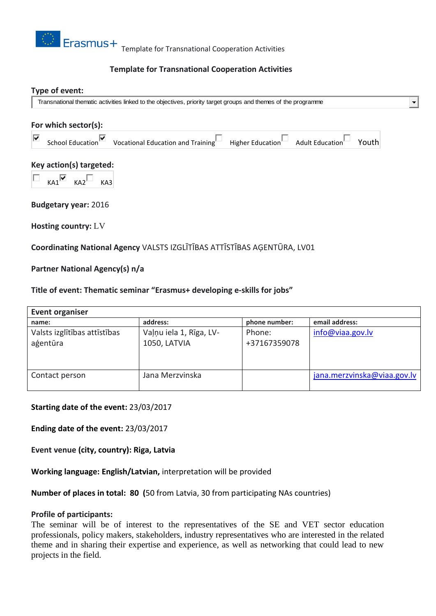

# **Template for Transnational Cooperation Activities**

#### **Type of event:**

Transnational thematic activities linked to the objectives, priority target groups and themes of the programme

# **For which sector(s):** School Education V Vocational Education and Training Higher Education Adult Education Vouth ⊽ **Key action(s) targeted:**  $KA1$   $KA2$   $KA3$ **Budgetary year:** 2016 **Hosting country:** LV

**Coordinating National Agency** VALSTS IZGLĪTĪBAS ATTĪSTĪBAS AĢENTŪRA, LV01

# **Partner National Agency(s) n/a**

#### **Title of event: Thematic seminar "Erasmus+ developing e-skills for jobs"**

| <b>Event organiser</b>       |                         |               |                             |
|------------------------------|-------------------------|---------------|-----------------------------|
| name:                        | address:                | phone number: | email address:              |
| Valsts izglītības attīstības | Vaļņu iela 1, Rīga, LV- | Phone:        | info@viaa.gov.lv            |
| agentūra                     | 1050, LATVIA            | +37167359078  |                             |
|                              |                         |               |                             |
|                              |                         |               |                             |
| Contact person               | Jana Merzvinska         |               | jana.merzvinska@viaa.gov.lv |
|                              |                         |               |                             |

## **Starting date of the event:** 23/03/2017

**Ending date of the event:** 23/03/2017

**Event venue (city, country): Riga, Latvia**

**Working language: English/Latvian,** interpretation will be provided

**Number of places in total: 80 (**50 from Latvia, 30 from participating NAs countries)

#### **Profile of participants:**

The seminar will be of interest to the representatives of the SE and VET sector education professionals, policy makers, stakeholders, industry representatives who are interested in the related theme and in sharing their expertise and experience, as well as networking that could lead to new projects in the field.